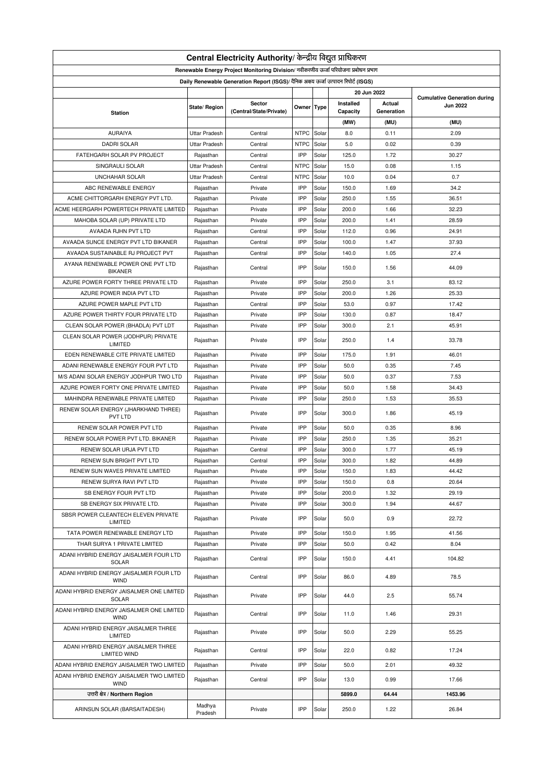| Central Electricity Authority/ केन्द्रीय विद्युत प्राधिकरण                           |                        |                                                                                    |             |                |           |            |                                                        |  |  |
|--------------------------------------------------------------------------------------|------------------------|------------------------------------------------------------------------------------|-------------|----------------|-----------|------------|--------------------------------------------------------|--|--|
| Renewable Energy Project Monitoring Division/ नवीकरणीय ऊर्जा परियोजना प्रबोधन प्रभाग |                        |                                                                                    |             |                |           |            |                                                        |  |  |
|                                                                                      |                        | Daily Renewable Generation Report (ISGS)/ दैनिक अक्षय ऊर्जा उत्पादन रिपोर्ट (ISGS) |             |                |           |            |                                                        |  |  |
| 20 Jun 2022                                                                          |                        |                                                                                    |             |                |           |            |                                                        |  |  |
|                                                                                      |                        | Sector                                                                             |             |                | Installed | Actual     | <b>Cumulative Generation during</b><br><b>Jun 2022</b> |  |  |
| <b>Station</b>                                                                       | State/ Region          | (Central/State/Private)                                                            | Owner Type  |                | Capacity  | Generation |                                                        |  |  |
|                                                                                      |                        |                                                                                    |             |                | (MW)      | (MU)       | (MU)                                                   |  |  |
| <b>AURAIYA</b>                                                                       | <b>Uttar Pradesh</b>   | Central                                                                            | <b>NTPC</b> | Solar          | 8.0       | 0.11       | 2.09                                                   |  |  |
| <b>DADRI SOLAR</b>                                                                   | <b>Uttar Pradesh</b>   | Central                                                                            | <b>NTPC</b> | Solar          | 5.0       | 0.02       | 0.39                                                   |  |  |
| FATEHGARH SOLAR PV PROJECT                                                           | Rajasthan              | Central                                                                            | IPP         | Solar          | 125.0     | 1.72       | 30.27                                                  |  |  |
| SINGRAULI SOLAR                                                                      | <b>Uttar Pradesh</b>   | Central                                                                            | <b>NTPC</b> | Solar          | 15.0      | 0.08       | 1.15                                                   |  |  |
| <b>UNCHAHAR SOLAR</b>                                                                | <b>Uttar Pradesh</b>   | Central                                                                            | <b>NTPC</b> | Solar          | 10.0      | 0.04       | 0.7                                                    |  |  |
| ABC RENEWABLE ENERGY                                                                 | Rajasthan              | Private                                                                            | IPP         | Solar          | 150.0     | 1.69       | 34.2                                                   |  |  |
| ACME CHITTORGARH ENERGY PVT LTD.                                                     | Rajasthan              | Private                                                                            | IPP         | Solar          | 250.0     | 1.55       | 36.51                                                  |  |  |
| ACME HEERGARH POWERTECH PRIVATE LIMITED                                              | Rajasthan              | Private                                                                            | IPP         | Solar          | 200.0     | 1.66       | 32.23                                                  |  |  |
| MAHOBA SOLAR (UP) PRIVATE LTD                                                        | Rajasthan              | Private                                                                            | IPP         | Solar          | 200.0     | 1.41       | 28.59                                                  |  |  |
| AVAADA RJHN PVT LTD                                                                  | Rajasthan              | Central                                                                            | IPP         | Solar          | 112.0     | 0.96       | 24.91                                                  |  |  |
| AVAADA SUNCE ENERGY PVT LTD BIKANER                                                  | Rajasthan              | Central                                                                            | IPP         | Solar          | 100.0     | 1.47       | 37.93                                                  |  |  |
| AVAADA SUSTAINABLE RJ PROJECT PVT                                                    | Rajasthan              | Central                                                                            | IPP         | Solar          | 140.0     | 1.05       | 27.4                                                   |  |  |
| AYANA RENEWABLE POWER ONE PVT LTD<br><b>BIKANER</b>                                  | Rajasthan              | Central                                                                            | IPP         | Solar          | 150.0     | 1.56       | 44.09                                                  |  |  |
| AZURE POWER FORTY THREE PRIVATE LTD                                                  | Rajasthan              | Private                                                                            | IPP         | Solar          | 250.0     | 3.1        | 83.12                                                  |  |  |
| AZURE POWER INDIA PVT LTD                                                            | Rajasthan              | Private                                                                            | IPP         | Solar          | 200.0     | 1.26       | 25.33                                                  |  |  |
| AZURE POWER MAPLE PVT LTD                                                            | Rajasthan              | Central                                                                            | IPP         | Solar          | 53.0      | 0.97       | 17.42                                                  |  |  |
| AZURE POWER THIRTY FOUR PRIVATE LTD                                                  | Rajasthan              | Private                                                                            | IPP         | Solar          | 130.0     | 0.87       | 18.47                                                  |  |  |
| CLEAN SOLAR POWER (BHADLA) PVT LDT                                                   |                        | Private                                                                            | IPP         |                | 300.0     | 2.1        | 45.91                                                  |  |  |
| CLEAN SOLAR POWER (JODHPUR) PRIVATE                                                  | Rajasthan<br>Rajasthan | Private                                                                            | IPP         | Solar<br>Solar | 250.0     | 1.4        | 33.78                                                  |  |  |
| LIMITED                                                                              |                        |                                                                                    |             |                |           |            |                                                        |  |  |
| EDEN RENEWABLE CITE PRIVATE LIMITED                                                  | Rajasthan              | Private                                                                            | IPP         | Solar          | 175.0     | 1.91       | 46.01                                                  |  |  |
| ADANI RENEWABLE ENERGY FOUR PVT LTD                                                  | Rajasthan              | Private                                                                            | IPP         | Solar          | 50.0      | 0.35       | 7.45                                                   |  |  |
| M/S ADANI SOLAR ENERGY JODHPUR TWO LTD                                               | Rajasthan              | Private                                                                            | IPP         | Solar          | 50.0      | 0.37       | 7.53                                                   |  |  |
| AZURE POWER FORTY ONE PRIVATE LIMITED                                                | Rajasthan              | Private                                                                            | IPP         | Solar          | 50.0      | 1.58       | 34.43                                                  |  |  |
| MAHINDRA RENEWABLE PRIVATE LIMITED                                                   | Rajasthan              | Private                                                                            | IPP         | Solar          | 250.0     | 1.53       | 35.53                                                  |  |  |
| RENEW SOLAR ENERGY (JHARKHAND THREE)<br>PVT LTD                                      | Rajasthan              | Private                                                                            | IPP         | Solar          | 300.0     | 1.86       | 45.19                                                  |  |  |
| RENEW SOLAR POWER PVT LTD                                                            | Rajasthan              | Private                                                                            | IPP         | Solar          | 50.0      | 0.35       | 8.96                                                   |  |  |
| RENEW SOLAR POWER PVT LTD. BIKANER                                                   | Rajasthan              | Private                                                                            | IPP         | Solar          | 250.0     | 1.35       | 35.21                                                  |  |  |
| RENEW SOLAR URJA PVT LTD                                                             | Rajasthan              | Central                                                                            | IPP         | Solar          | 300.0     | 1.77       | 45.19                                                  |  |  |
| RENEW SUN BRIGHT PVT LTD                                                             | Rajasthan              | Central                                                                            | IPP         | Solar          | 300.0     | 1.82       | 44.89                                                  |  |  |
| RENEW SUN WAVES PRIVATE LIMITED                                                      | Rajasthan              | Private                                                                            | IPP         | Solar          | 150.0     | 1.83       | 44.42                                                  |  |  |
| RENEW SURYA RAVI PVT LTD                                                             | Rajasthan              | Private                                                                            | IPP         | Solar          | 150.0     | 0.8        | 20.64                                                  |  |  |
| SB ENERGY FOUR PVT LTD                                                               | Rajasthan              | Private                                                                            | IPP         | Solar          | 200.0     | 1.32       | 29.19                                                  |  |  |
| SB ENERGY SIX PRIVATE LTD.                                                           | Rajasthan              | Private                                                                            | IPP         | Solar          | 300.0     | 1.94       | 44.67                                                  |  |  |
| SBSR POWER CLEANTECH ELEVEN PRIVATE<br>LIMITED                                       | Rajasthan              | Private                                                                            | IPP         | Solar          | 50.0      | 0.9        | 22.72                                                  |  |  |
| TATA POWER RENEWABLE ENERGY LTD                                                      | Rajasthan              | Private                                                                            | IPP         | Solar          | 150.0     | 1.95       | 41.56                                                  |  |  |
| THAR SURYA 1 PRIVATE LIMITED                                                         | Rajasthan              | Private                                                                            | IPP         | Solar          | 50.0      | 0.42       | 8.04                                                   |  |  |
| ADANI HYBRID ENERGY JAISALMER FOUR LTD<br>SOLAR                                      | Rajasthan              | Central                                                                            | IPP         | Solar          | 150.0     | 4.41       | 104.82                                                 |  |  |
| ADANI HYBRID ENERGY JAISALMER FOUR LTD<br><b>WIND</b>                                | Rajasthan              | Central                                                                            | IPP         | Solar          | 86.0      | 4.89       | 78.5                                                   |  |  |
| ADANI HYBRID ENERGY JAISALMER ONE LIMITED<br><b>SOLAR</b>                            | Rajasthan              | Private                                                                            | IPP         | Solar          | 44.0      | 2.5        | 55.74                                                  |  |  |
| ADANI HYBRID ENERGY JAISALMER ONE LIMITED<br><b>WIND</b>                             | Rajasthan              | Central                                                                            | IPP         | Solar          | 11.0      | 1.46       | 29.31                                                  |  |  |
| ADANI HYBRID ENERGY JAISALMER THREE<br>LIMITED                                       | Rajasthan              | Private                                                                            | IPP         | Solar          | 50.0      | 2.29       | 55.25                                                  |  |  |
| ADANI HYBRID ENERGY JAISALMER THREE<br>LIMITED WIND                                  | Rajasthan              | Central                                                                            | IPP         | Solar          | 22.0      | 0.82       | 17.24                                                  |  |  |
| ADANI HYBRID ENERGY JAISALMER TWO LIMITED                                            | Rajasthan              | Private                                                                            | IPP         | Solar          | 50.0      | 2.01       | 49.32                                                  |  |  |
| ADANI HYBRID ENERGY JAISALMER TWO LIMITED                                            | Rajasthan              | Central                                                                            | IPP         | Solar          | 13.0      | 0.99       | 17.66                                                  |  |  |
| <b>WIND</b><br>उत्तरी क्षेत्र / Northern Region                                      |                        |                                                                                    |             |                | 5899.0    | 64.44      | 1453.96                                                |  |  |
|                                                                                      |                        |                                                                                    |             |                |           |            |                                                        |  |  |
| ARINSUN SOLAR (BARSAITADESH)                                                         | Madhya<br>Pradesh      | Private                                                                            | IPP         | Solar          | 250.0     | 1.22       | 26.84                                                  |  |  |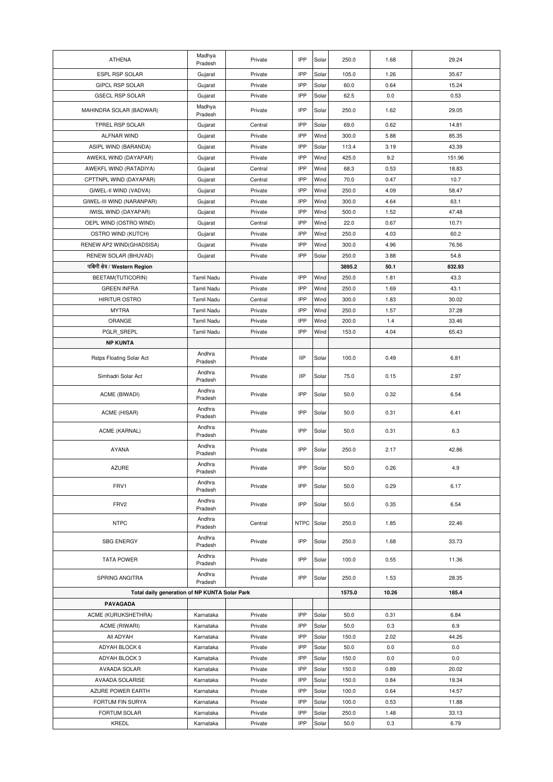| IPP<br>35.67<br>ESPL RSP SOLAR<br>105.0<br>1.26<br>Gujarat<br>Private<br>Solar<br>IPP<br><b>GIPCL RSP SOLAR</b><br>Private<br>Solar<br>60.0<br>0.64<br>15.24<br>Gujarat<br><b>GSECL RSP SOLAR</b><br>Private<br>IPP<br>62.5<br>0.0<br>0.53<br>Gujarat<br>Solar<br>Madhya<br>IPP<br>29.05<br>MAHINDRA SOLAR (BADWAR)<br>Solar<br>250.0<br>1.62<br>Private<br>Pradesh<br>IPP<br>TPREL RSP SOLAR<br>69.0<br>0.62<br>14.81<br>Gujarat<br>Central<br>Solar<br>ALFNAR WIND<br>Private<br>IPP<br>Wind<br>300.0<br>85.35<br>Gujarat<br>5.88<br>IPP<br>43.39<br>ASIPL WIND (BARANDA)<br>Gujarat<br>Private<br>Solar<br>113.4<br>3.19<br>IPP<br>Wind<br>425.0<br>9.2<br>151.96<br>AWEKIL WIND (DAYAPAR)<br>Gujarat<br>Private<br>Central<br>IPP<br>Wind<br>68.3<br>0.53<br>18.83<br>AWEKFL WIND (RATADIYA)<br>Gujarat<br>IPP<br>CPTTNPL WIND (DAYAPAR)<br>Central<br>Wind<br>70.0<br>0.47<br>10.7<br>Gujarat<br>Private<br>IPP<br>Wind<br>250.0<br>4.09<br>58.47<br>GIWEL-II WIND (VADVA)<br>Gujarat<br>IPP<br>GIWEL-III WIND (NARANPAR)<br>Gujarat<br>Private<br>Wind<br>300.0<br>4.64<br>63.1<br>IPP<br>47.48<br><b>IWISL WIND (DAYAPAR)</b><br>Private<br>Wind<br>500.0<br>1.52<br>Gujarat<br>IPP<br>OEPL WIND (OSTRO WIND)<br>Central<br>Wind<br>22.0<br>0.67<br>10.71<br>Gujarat<br>IPP<br>Private<br>Wind<br>250.0<br>4.03<br>60.2<br>OSTRO WIND (KUTCH)<br>Gujarat<br>IPP<br>Private<br>Wind<br>300.0<br>4.96<br>76.56<br>RENEW AP2 WIND(GHADSISA)<br>Gujarat<br>IPP<br>54.8<br>RENEW SOLAR (BHUVAD)<br>Gujarat<br>Private<br>Solar<br>250.0<br>3.88<br>पश्चिमी क्षेत्र / Western Region<br>50.1<br>832.93<br>3895.2<br>IPP<br>Wind<br>BEETAM(TUTICORIN)<br><b>Tamil Nadu</b><br>Private<br>250.0<br>1.81<br>43.3<br>IPP<br><b>GREEN INFRA</b><br>Private<br>Wind<br>250.0<br>1.69<br>43.1<br>Tamil Nadu<br>IPP<br><b>HIRITUR OSTRO</b><br>Wind<br>300.0<br>1.83<br>30.02<br>Tamil Nadu<br>Central<br>IPP<br>Wind<br>250.0<br>1.57<br>37.28<br><b>MYTRA</b><br>Tamil Nadu<br>Private<br>ORANGE<br>IPP<br>Wind<br>Tamil Nadu<br>Private<br>200.0<br>1.4<br>33.46<br>IPP<br>PGLR SREPL<br>Private<br>Wind<br>153.0<br>4.04<br>65.43<br>Tamil Nadu<br><b>NP KUNTA</b><br>Andhra<br><b>IIP</b><br>6.81<br>Rstps Floating Solar Act<br>Private<br>Solar<br>100.0<br>0.49<br>Pradesh<br>Andhra<br><b>IIP</b><br>75.0<br>2.97<br>Simhadri Solar Act<br>Private<br>Solar<br>0.15<br>Pradesh<br>Andhra<br>IPP<br>6.54<br>ACME (BIWADI)<br>Private<br>Solar<br>50.0<br>0.32<br>Pradesh<br>Andhra<br>IPP<br>6.41<br>ACME (HISAR)<br>Private<br>Solar<br>50.0<br>0.31<br>Pradesh<br>Andhra<br>IPP<br>Solar<br>6.3<br>ACME (KARNAL)<br>Private<br>50.0<br>0.31<br>Pradesh<br>Andhra<br><b>AYANA</b><br>IPP<br>42.86<br>Private<br>Solar<br>250.0<br>2.17<br>Pradesh<br>Andhra<br>IPP<br><b>AZURE</b><br>50.0<br>0.26<br>4.9<br>Solar<br>Private<br>Pradesh<br>Andhra<br>FRV1<br><b>IPP</b><br>Solar<br>50.0<br>0.29<br>6.17<br>Private<br>Pradesh<br>Andhra<br>IPP<br>FRV2<br>Solar<br>50.0<br>0.35<br>6.54<br>Private<br>Pradesh<br>Andhra<br><b>NTPC</b><br>22.46<br>Central<br>NTPC<br>Solar<br>250.0<br>1.85<br>Pradesh<br>Andhra<br><b>SBG ENERGY</b><br>IPP<br>33.73<br>Private<br>Solar<br>250.0<br>1.68<br>Pradesh<br>Andhra<br>IPP<br>100.0<br><b>TATA POWER</b><br>Private<br>Solar<br>0.55<br>11.36<br>Pradesh<br>Andhra<br>SPRING ANGITRA<br>IPP<br>28.35<br>Private<br>Solar<br>250.0<br>1.53<br>Pradesh<br>Total daily generation of NP KUNTA Solar Park<br>1575.0<br>10.26<br>185.4<br>PAVAGADA<br>ACME (KURUKSHETHRA)<br>IPP<br>Karnataka<br>Private<br>Solar<br>50.0<br>0.31<br>6.84<br>IPP<br>6.9<br>ACME (RIWARI)<br>Karnataka<br>Private<br>Solar<br>50.0<br>0.3<br>All ADYAH<br>IPP<br>44.26<br>Karnataka<br>Private<br>Solar<br>150.0<br>2.02<br>ADYAH BLOCK 6<br>IPP<br>50.0<br>0.0<br>0.0<br>Karnataka<br>Private<br>Solar<br>IPP<br>150.0<br>0.0<br>ADYAH BLOCK 3<br>Karnataka<br>Private<br>Solar<br>0.0<br>AVAADA SOLAR<br>Private<br>IPP<br>Solar<br>150.0<br>0.89<br>20.02<br>Karnataka<br>IPP<br>AVAADA SOLARISE<br>Private<br>Solar<br>150.0<br>19.34<br>Karnataka<br>0.84<br>IPP<br>AZURE POWER EARTH<br>Private<br>Solar<br>100.0<br>14.57<br>Karnataka<br>0.64<br>IPP<br>11.88<br>FORTUM FIN SURYA<br>Private<br>Solar<br>100.0<br>0.53<br>Karnataka<br>IPP<br>250.0<br>33.13<br>FORTUM SOLAR<br>Karnataka<br>Private<br>Solar<br>1.48<br>IPP<br>6.79<br>KREDL<br>Karnataka<br>Private<br>Solar<br>50.0<br>0.3 | <b>ATHENA</b> | Madhya<br>Pradesh | Private | IPP | Solar | 250.0 | 1.68 | 29.24 |
|----------------------------------------------------------------------------------------------------------------------------------------------------------------------------------------------------------------------------------------------------------------------------------------------------------------------------------------------------------------------------------------------------------------------------------------------------------------------------------------------------------------------------------------------------------------------------------------------------------------------------------------------------------------------------------------------------------------------------------------------------------------------------------------------------------------------------------------------------------------------------------------------------------------------------------------------------------------------------------------------------------------------------------------------------------------------------------------------------------------------------------------------------------------------------------------------------------------------------------------------------------------------------------------------------------------------------------------------------------------------------------------------------------------------------------------------------------------------------------------------------------------------------------------------------------------------------------------------------------------------------------------------------------------------------------------------------------------------------------------------------------------------------------------------------------------------------------------------------------------------------------------------------------------------------------------------------------------------------------------------------------------------------------------------------------------------------------------------------------------------------------------------------------------------------------------------------------------------------------------------------------------------------------------------------------------------------------------------------------------------------------------------------------------------------------------------------------------------------------------------------------------------------------------------------------------------------------------------------------------------------------------------------------------------------------------------------------------------------------------------------------------------------------------------------------------------------------------------------------------------------------------------------------------------------------------------------------------------------------------------------------------------------------------------------------------------------------------------------------------------------------------------------------------------------------------------------------------------------------------------------------------------------------------------------------------------------------------------------------------------------------------------------------------------------------------------------------------------------------------------------------------------------------------------------------------------------------------------------------------------------------------------------------------------------------------------------------------------------------------------------------------------------------------------------------------------------------------------------------------------------------------------------------------------------------------------------------------------------------------------------------------------------------------------------------------------------------------------------------------------------------------------------------------------------------------------------------------------------------------------------------------------------------------------------------------------------------------------------------------------------------------------------------------------------------|---------------|-------------------|---------|-----|-------|-------|------|-------|
|                                                                                                                                                                                                                                                                                                                                                                                                                                                                                                                                                                                                                                                                                                                                                                                                                                                                                                                                                                                                                                                                                                                                                                                                                                                                                                                                                                                                                                                                                                                                                                                                                                                                                                                                                                                                                                                                                                                                                                                                                                                                                                                                                                                                                                                                                                                                                                                                                                                                                                                                                                                                                                                                                                                                                                                                                                                                                                                                                                                                                                                                                                                                                                                                                                                                                                                                                                                                                                                                                                                                                                                                                                                                                                                                                                                                                                                                                                                                                                                                                                                                                                                                                                                                                                                                                                                                                                                                                                  |               |                   |         |     |       |       |      |       |
|                                                                                                                                                                                                                                                                                                                                                                                                                                                                                                                                                                                                                                                                                                                                                                                                                                                                                                                                                                                                                                                                                                                                                                                                                                                                                                                                                                                                                                                                                                                                                                                                                                                                                                                                                                                                                                                                                                                                                                                                                                                                                                                                                                                                                                                                                                                                                                                                                                                                                                                                                                                                                                                                                                                                                                                                                                                                                                                                                                                                                                                                                                                                                                                                                                                                                                                                                                                                                                                                                                                                                                                                                                                                                                                                                                                                                                                                                                                                                                                                                                                                                                                                                                                                                                                                                                                                                                                                                                  |               |                   |         |     |       |       |      |       |
|                                                                                                                                                                                                                                                                                                                                                                                                                                                                                                                                                                                                                                                                                                                                                                                                                                                                                                                                                                                                                                                                                                                                                                                                                                                                                                                                                                                                                                                                                                                                                                                                                                                                                                                                                                                                                                                                                                                                                                                                                                                                                                                                                                                                                                                                                                                                                                                                                                                                                                                                                                                                                                                                                                                                                                                                                                                                                                                                                                                                                                                                                                                                                                                                                                                                                                                                                                                                                                                                                                                                                                                                                                                                                                                                                                                                                                                                                                                                                                                                                                                                                                                                                                                                                                                                                                                                                                                                                                  |               |                   |         |     |       |       |      |       |
|                                                                                                                                                                                                                                                                                                                                                                                                                                                                                                                                                                                                                                                                                                                                                                                                                                                                                                                                                                                                                                                                                                                                                                                                                                                                                                                                                                                                                                                                                                                                                                                                                                                                                                                                                                                                                                                                                                                                                                                                                                                                                                                                                                                                                                                                                                                                                                                                                                                                                                                                                                                                                                                                                                                                                                                                                                                                                                                                                                                                                                                                                                                                                                                                                                                                                                                                                                                                                                                                                                                                                                                                                                                                                                                                                                                                                                                                                                                                                                                                                                                                                                                                                                                                                                                                                                                                                                                                                                  |               |                   |         |     |       |       |      |       |
|                                                                                                                                                                                                                                                                                                                                                                                                                                                                                                                                                                                                                                                                                                                                                                                                                                                                                                                                                                                                                                                                                                                                                                                                                                                                                                                                                                                                                                                                                                                                                                                                                                                                                                                                                                                                                                                                                                                                                                                                                                                                                                                                                                                                                                                                                                                                                                                                                                                                                                                                                                                                                                                                                                                                                                                                                                                                                                                                                                                                                                                                                                                                                                                                                                                                                                                                                                                                                                                                                                                                                                                                                                                                                                                                                                                                                                                                                                                                                                                                                                                                                                                                                                                                                                                                                                                                                                                                                                  |               |                   |         |     |       |       |      |       |
|                                                                                                                                                                                                                                                                                                                                                                                                                                                                                                                                                                                                                                                                                                                                                                                                                                                                                                                                                                                                                                                                                                                                                                                                                                                                                                                                                                                                                                                                                                                                                                                                                                                                                                                                                                                                                                                                                                                                                                                                                                                                                                                                                                                                                                                                                                                                                                                                                                                                                                                                                                                                                                                                                                                                                                                                                                                                                                                                                                                                                                                                                                                                                                                                                                                                                                                                                                                                                                                                                                                                                                                                                                                                                                                                                                                                                                                                                                                                                                                                                                                                                                                                                                                                                                                                                                                                                                                                                                  |               |                   |         |     |       |       |      |       |
|                                                                                                                                                                                                                                                                                                                                                                                                                                                                                                                                                                                                                                                                                                                                                                                                                                                                                                                                                                                                                                                                                                                                                                                                                                                                                                                                                                                                                                                                                                                                                                                                                                                                                                                                                                                                                                                                                                                                                                                                                                                                                                                                                                                                                                                                                                                                                                                                                                                                                                                                                                                                                                                                                                                                                                                                                                                                                                                                                                                                                                                                                                                                                                                                                                                                                                                                                                                                                                                                                                                                                                                                                                                                                                                                                                                                                                                                                                                                                                                                                                                                                                                                                                                                                                                                                                                                                                                                                                  |               |                   |         |     |       |       |      |       |
|                                                                                                                                                                                                                                                                                                                                                                                                                                                                                                                                                                                                                                                                                                                                                                                                                                                                                                                                                                                                                                                                                                                                                                                                                                                                                                                                                                                                                                                                                                                                                                                                                                                                                                                                                                                                                                                                                                                                                                                                                                                                                                                                                                                                                                                                                                                                                                                                                                                                                                                                                                                                                                                                                                                                                                                                                                                                                                                                                                                                                                                                                                                                                                                                                                                                                                                                                                                                                                                                                                                                                                                                                                                                                                                                                                                                                                                                                                                                                                                                                                                                                                                                                                                                                                                                                                                                                                                                                                  |               |                   |         |     |       |       |      |       |
|                                                                                                                                                                                                                                                                                                                                                                                                                                                                                                                                                                                                                                                                                                                                                                                                                                                                                                                                                                                                                                                                                                                                                                                                                                                                                                                                                                                                                                                                                                                                                                                                                                                                                                                                                                                                                                                                                                                                                                                                                                                                                                                                                                                                                                                                                                                                                                                                                                                                                                                                                                                                                                                                                                                                                                                                                                                                                                                                                                                                                                                                                                                                                                                                                                                                                                                                                                                                                                                                                                                                                                                                                                                                                                                                                                                                                                                                                                                                                                                                                                                                                                                                                                                                                                                                                                                                                                                                                                  |               |                   |         |     |       |       |      |       |
|                                                                                                                                                                                                                                                                                                                                                                                                                                                                                                                                                                                                                                                                                                                                                                                                                                                                                                                                                                                                                                                                                                                                                                                                                                                                                                                                                                                                                                                                                                                                                                                                                                                                                                                                                                                                                                                                                                                                                                                                                                                                                                                                                                                                                                                                                                                                                                                                                                                                                                                                                                                                                                                                                                                                                                                                                                                                                                                                                                                                                                                                                                                                                                                                                                                                                                                                                                                                                                                                                                                                                                                                                                                                                                                                                                                                                                                                                                                                                                                                                                                                                                                                                                                                                                                                                                                                                                                                                                  |               |                   |         |     |       |       |      |       |
|                                                                                                                                                                                                                                                                                                                                                                                                                                                                                                                                                                                                                                                                                                                                                                                                                                                                                                                                                                                                                                                                                                                                                                                                                                                                                                                                                                                                                                                                                                                                                                                                                                                                                                                                                                                                                                                                                                                                                                                                                                                                                                                                                                                                                                                                                                                                                                                                                                                                                                                                                                                                                                                                                                                                                                                                                                                                                                                                                                                                                                                                                                                                                                                                                                                                                                                                                                                                                                                                                                                                                                                                                                                                                                                                                                                                                                                                                                                                                                                                                                                                                                                                                                                                                                                                                                                                                                                                                                  |               |                   |         |     |       |       |      |       |
|                                                                                                                                                                                                                                                                                                                                                                                                                                                                                                                                                                                                                                                                                                                                                                                                                                                                                                                                                                                                                                                                                                                                                                                                                                                                                                                                                                                                                                                                                                                                                                                                                                                                                                                                                                                                                                                                                                                                                                                                                                                                                                                                                                                                                                                                                                                                                                                                                                                                                                                                                                                                                                                                                                                                                                                                                                                                                                                                                                                                                                                                                                                                                                                                                                                                                                                                                                                                                                                                                                                                                                                                                                                                                                                                                                                                                                                                                                                                                                                                                                                                                                                                                                                                                                                                                                                                                                                                                                  |               |                   |         |     |       |       |      |       |
|                                                                                                                                                                                                                                                                                                                                                                                                                                                                                                                                                                                                                                                                                                                                                                                                                                                                                                                                                                                                                                                                                                                                                                                                                                                                                                                                                                                                                                                                                                                                                                                                                                                                                                                                                                                                                                                                                                                                                                                                                                                                                                                                                                                                                                                                                                                                                                                                                                                                                                                                                                                                                                                                                                                                                                                                                                                                                                                                                                                                                                                                                                                                                                                                                                                                                                                                                                                                                                                                                                                                                                                                                                                                                                                                                                                                                                                                                                                                                                                                                                                                                                                                                                                                                                                                                                                                                                                                                                  |               |                   |         |     |       |       |      |       |
|                                                                                                                                                                                                                                                                                                                                                                                                                                                                                                                                                                                                                                                                                                                                                                                                                                                                                                                                                                                                                                                                                                                                                                                                                                                                                                                                                                                                                                                                                                                                                                                                                                                                                                                                                                                                                                                                                                                                                                                                                                                                                                                                                                                                                                                                                                                                                                                                                                                                                                                                                                                                                                                                                                                                                                                                                                                                                                                                                                                                                                                                                                                                                                                                                                                                                                                                                                                                                                                                                                                                                                                                                                                                                                                                                                                                                                                                                                                                                                                                                                                                                                                                                                                                                                                                                                                                                                                                                                  |               |                   |         |     |       |       |      |       |
|                                                                                                                                                                                                                                                                                                                                                                                                                                                                                                                                                                                                                                                                                                                                                                                                                                                                                                                                                                                                                                                                                                                                                                                                                                                                                                                                                                                                                                                                                                                                                                                                                                                                                                                                                                                                                                                                                                                                                                                                                                                                                                                                                                                                                                                                                                                                                                                                                                                                                                                                                                                                                                                                                                                                                                                                                                                                                                                                                                                                                                                                                                                                                                                                                                                                                                                                                                                                                                                                                                                                                                                                                                                                                                                                                                                                                                                                                                                                                                                                                                                                                                                                                                                                                                                                                                                                                                                                                                  |               |                   |         |     |       |       |      |       |
|                                                                                                                                                                                                                                                                                                                                                                                                                                                                                                                                                                                                                                                                                                                                                                                                                                                                                                                                                                                                                                                                                                                                                                                                                                                                                                                                                                                                                                                                                                                                                                                                                                                                                                                                                                                                                                                                                                                                                                                                                                                                                                                                                                                                                                                                                                                                                                                                                                                                                                                                                                                                                                                                                                                                                                                                                                                                                                                                                                                                                                                                                                                                                                                                                                                                                                                                                                                                                                                                                                                                                                                                                                                                                                                                                                                                                                                                                                                                                                                                                                                                                                                                                                                                                                                                                                                                                                                                                                  |               |                   |         |     |       |       |      |       |
|                                                                                                                                                                                                                                                                                                                                                                                                                                                                                                                                                                                                                                                                                                                                                                                                                                                                                                                                                                                                                                                                                                                                                                                                                                                                                                                                                                                                                                                                                                                                                                                                                                                                                                                                                                                                                                                                                                                                                                                                                                                                                                                                                                                                                                                                                                                                                                                                                                                                                                                                                                                                                                                                                                                                                                                                                                                                                                                                                                                                                                                                                                                                                                                                                                                                                                                                                                                                                                                                                                                                                                                                                                                                                                                                                                                                                                                                                                                                                                                                                                                                                                                                                                                                                                                                                                                                                                                                                                  |               |                   |         |     |       |       |      |       |
|                                                                                                                                                                                                                                                                                                                                                                                                                                                                                                                                                                                                                                                                                                                                                                                                                                                                                                                                                                                                                                                                                                                                                                                                                                                                                                                                                                                                                                                                                                                                                                                                                                                                                                                                                                                                                                                                                                                                                                                                                                                                                                                                                                                                                                                                                                                                                                                                                                                                                                                                                                                                                                                                                                                                                                                                                                                                                                                                                                                                                                                                                                                                                                                                                                                                                                                                                                                                                                                                                                                                                                                                                                                                                                                                                                                                                                                                                                                                                                                                                                                                                                                                                                                                                                                                                                                                                                                                                                  |               |                   |         |     |       |       |      |       |
|                                                                                                                                                                                                                                                                                                                                                                                                                                                                                                                                                                                                                                                                                                                                                                                                                                                                                                                                                                                                                                                                                                                                                                                                                                                                                                                                                                                                                                                                                                                                                                                                                                                                                                                                                                                                                                                                                                                                                                                                                                                                                                                                                                                                                                                                                                                                                                                                                                                                                                                                                                                                                                                                                                                                                                                                                                                                                                                                                                                                                                                                                                                                                                                                                                                                                                                                                                                                                                                                                                                                                                                                                                                                                                                                                                                                                                                                                                                                                                                                                                                                                                                                                                                                                                                                                                                                                                                                                                  |               |                   |         |     |       |       |      |       |
|                                                                                                                                                                                                                                                                                                                                                                                                                                                                                                                                                                                                                                                                                                                                                                                                                                                                                                                                                                                                                                                                                                                                                                                                                                                                                                                                                                                                                                                                                                                                                                                                                                                                                                                                                                                                                                                                                                                                                                                                                                                                                                                                                                                                                                                                                                                                                                                                                                                                                                                                                                                                                                                                                                                                                                                                                                                                                                                                                                                                                                                                                                                                                                                                                                                                                                                                                                                                                                                                                                                                                                                                                                                                                                                                                                                                                                                                                                                                                                                                                                                                                                                                                                                                                                                                                                                                                                                                                                  |               |                   |         |     |       |       |      |       |
|                                                                                                                                                                                                                                                                                                                                                                                                                                                                                                                                                                                                                                                                                                                                                                                                                                                                                                                                                                                                                                                                                                                                                                                                                                                                                                                                                                                                                                                                                                                                                                                                                                                                                                                                                                                                                                                                                                                                                                                                                                                                                                                                                                                                                                                                                                                                                                                                                                                                                                                                                                                                                                                                                                                                                                                                                                                                                                                                                                                                                                                                                                                                                                                                                                                                                                                                                                                                                                                                                                                                                                                                                                                                                                                                                                                                                                                                                                                                                                                                                                                                                                                                                                                                                                                                                                                                                                                                                                  |               |                   |         |     |       |       |      |       |
|                                                                                                                                                                                                                                                                                                                                                                                                                                                                                                                                                                                                                                                                                                                                                                                                                                                                                                                                                                                                                                                                                                                                                                                                                                                                                                                                                                                                                                                                                                                                                                                                                                                                                                                                                                                                                                                                                                                                                                                                                                                                                                                                                                                                                                                                                                                                                                                                                                                                                                                                                                                                                                                                                                                                                                                                                                                                                                                                                                                                                                                                                                                                                                                                                                                                                                                                                                                                                                                                                                                                                                                                                                                                                                                                                                                                                                                                                                                                                                                                                                                                                                                                                                                                                                                                                                                                                                                                                                  |               |                   |         |     |       |       |      |       |
|                                                                                                                                                                                                                                                                                                                                                                                                                                                                                                                                                                                                                                                                                                                                                                                                                                                                                                                                                                                                                                                                                                                                                                                                                                                                                                                                                                                                                                                                                                                                                                                                                                                                                                                                                                                                                                                                                                                                                                                                                                                                                                                                                                                                                                                                                                                                                                                                                                                                                                                                                                                                                                                                                                                                                                                                                                                                                                                                                                                                                                                                                                                                                                                                                                                                                                                                                                                                                                                                                                                                                                                                                                                                                                                                                                                                                                                                                                                                                                                                                                                                                                                                                                                                                                                                                                                                                                                                                                  |               |                   |         |     |       |       |      |       |
|                                                                                                                                                                                                                                                                                                                                                                                                                                                                                                                                                                                                                                                                                                                                                                                                                                                                                                                                                                                                                                                                                                                                                                                                                                                                                                                                                                                                                                                                                                                                                                                                                                                                                                                                                                                                                                                                                                                                                                                                                                                                                                                                                                                                                                                                                                                                                                                                                                                                                                                                                                                                                                                                                                                                                                                                                                                                                                                                                                                                                                                                                                                                                                                                                                                                                                                                                                                                                                                                                                                                                                                                                                                                                                                                                                                                                                                                                                                                                                                                                                                                                                                                                                                                                                                                                                                                                                                                                                  |               |                   |         |     |       |       |      |       |
|                                                                                                                                                                                                                                                                                                                                                                                                                                                                                                                                                                                                                                                                                                                                                                                                                                                                                                                                                                                                                                                                                                                                                                                                                                                                                                                                                                                                                                                                                                                                                                                                                                                                                                                                                                                                                                                                                                                                                                                                                                                                                                                                                                                                                                                                                                                                                                                                                                                                                                                                                                                                                                                                                                                                                                                                                                                                                                                                                                                                                                                                                                                                                                                                                                                                                                                                                                                                                                                                                                                                                                                                                                                                                                                                                                                                                                                                                                                                                                                                                                                                                                                                                                                                                                                                                                                                                                                                                                  |               |                   |         |     |       |       |      |       |
|                                                                                                                                                                                                                                                                                                                                                                                                                                                                                                                                                                                                                                                                                                                                                                                                                                                                                                                                                                                                                                                                                                                                                                                                                                                                                                                                                                                                                                                                                                                                                                                                                                                                                                                                                                                                                                                                                                                                                                                                                                                                                                                                                                                                                                                                                                                                                                                                                                                                                                                                                                                                                                                                                                                                                                                                                                                                                                                                                                                                                                                                                                                                                                                                                                                                                                                                                                                                                                                                                                                                                                                                                                                                                                                                                                                                                                                                                                                                                                                                                                                                                                                                                                                                                                                                                                                                                                                                                                  |               |                   |         |     |       |       |      |       |
|                                                                                                                                                                                                                                                                                                                                                                                                                                                                                                                                                                                                                                                                                                                                                                                                                                                                                                                                                                                                                                                                                                                                                                                                                                                                                                                                                                                                                                                                                                                                                                                                                                                                                                                                                                                                                                                                                                                                                                                                                                                                                                                                                                                                                                                                                                                                                                                                                                                                                                                                                                                                                                                                                                                                                                                                                                                                                                                                                                                                                                                                                                                                                                                                                                                                                                                                                                                                                                                                                                                                                                                                                                                                                                                                                                                                                                                                                                                                                                                                                                                                                                                                                                                                                                                                                                                                                                                                                                  |               |                   |         |     |       |       |      |       |
|                                                                                                                                                                                                                                                                                                                                                                                                                                                                                                                                                                                                                                                                                                                                                                                                                                                                                                                                                                                                                                                                                                                                                                                                                                                                                                                                                                                                                                                                                                                                                                                                                                                                                                                                                                                                                                                                                                                                                                                                                                                                                                                                                                                                                                                                                                                                                                                                                                                                                                                                                                                                                                                                                                                                                                                                                                                                                                                                                                                                                                                                                                                                                                                                                                                                                                                                                                                                                                                                                                                                                                                                                                                                                                                                                                                                                                                                                                                                                                                                                                                                                                                                                                                                                                                                                                                                                                                                                                  |               |                   |         |     |       |       |      |       |
|                                                                                                                                                                                                                                                                                                                                                                                                                                                                                                                                                                                                                                                                                                                                                                                                                                                                                                                                                                                                                                                                                                                                                                                                                                                                                                                                                                                                                                                                                                                                                                                                                                                                                                                                                                                                                                                                                                                                                                                                                                                                                                                                                                                                                                                                                                                                                                                                                                                                                                                                                                                                                                                                                                                                                                                                                                                                                                                                                                                                                                                                                                                                                                                                                                                                                                                                                                                                                                                                                                                                                                                                                                                                                                                                                                                                                                                                                                                                                                                                                                                                                                                                                                                                                                                                                                                                                                                                                                  |               |                   |         |     |       |       |      |       |
|                                                                                                                                                                                                                                                                                                                                                                                                                                                                                                                                                                                                                                                                                                                                                                                                                                                                                                                                                                                                                                                                                                                                                                                                                                                                                                                                                                                                                                                                                                                                                                                                                                                                                                                                                                                                                                                                                                                                                                                                                                                                                                                                                                                                                                                                                                                                                                                                                                                                                                                                                                                                                                                                                                                                                                                                                                                                                                                                                                                                                                                                                                                                                                                                                                                                                                                                                                                                                                                                                                                                                                                                                                                                                                                                                                                                                                                                                                                                                                                                                                                                                                                                                                                                                                                                                                                                                                                                                                  |               |                   |         |     |       |       |      |       |
|                                                                                                                                                                                                                                                                                                                                                                                                                                                                                                                                                                                                                                                                                                                                                                                                                                                                                                                                                                                                                                                                                                                                                                                                                                                                                                                                                                                                                                                                                                                                                                                                                                                                                                                                                                                                                                                                                                                                                                                                                                                                                                                                                                                                                                                                                                                                                                                                                                                                                                                                                                                                                                                                                                                                                                                                                                                                                                                                                                                                                                                                                                                                                                                                                                                                                                                                                                                                                                                                                                                                                                                                                                                                                                                                                                                                                                                                                                                                                                                                                                                                                                                                                                                                                                                                                                                                                                                                                                  |               |                   |         |     |       |       |      |       |
|                                                                                                                                                                                                                                                                                                                                                                                                                                                                                                                                                                                                                                                                                                                                                                                                                                                                                                                                                                                                                                                                                                                                                                                                                                                                                                                                                                                                                                                                                                                                                                                                                                                                                                                                                                                                                                                                                                                                                                                                                                                                                                                                                                                                                                                                                                                                                                                                                                                                                                                                                                                                                                                                                                                                                                                                                                                                                                                                                                                                                                                                                                                                                                                                                                                                                                                                                                                                                                                                                                                                                                                                                                                                                                                                                                                                                                                                                                                                                                                                                                                                                                                                                                                                                                                                                                                                                                                                                                  |               |                   |         |     |       |       |      |       |
|                                                                                                                                                                                                                                                                                                                                                                                                                                                                                                                                                                                                                                                                                                                                                                                                                                                                                                                                                                                                                                                                                                                                                                                                                                                                                                                                                                                                                                                                                                                                                                                                                                                                                                                                                                                                                                                                                                                                                                                                                                                                                                                                                                                                                                                                                                                                                                                                                                                                                                                                                                                                                                                                                                                                                                                                                                                                                                                                                                                                                                                                                                                                                                                                                                                                                                                                                                                                                                                                                                                                                                                                                                                                                                                                                                                                                                                                                                                                                                                                                                                                                                                                                                                                                                                                                                                                                                                                                                  |               |                   |         |     |       |       |      |       |
|                                                                                                                                                                                                                                                                                                                                                                                                                                                                                                                                                                                                                                                                                                                                                                                                                                                                                                                                                                                                                                                                                                                                                                                                                                                                                                                                                                                                                                                                                                                                                                                                                                                                                                                                                                                                                                                                                                                                                                                                                                                                                                                                                                                                                                                                                                                                                                                                                                                                                                                                                                                                                                                                                                                                                                                                                                                                                                                                                                                                                                                                                                                                                                                                                                                                                                                                                                                                                                                                                                                                                                                                                                                                                                                                                                                                                                                                                                                                                                                                                                                                                                                                                                                                                                                                                                                                                                                                                                  |               |                   |         |     |       |       |      |       |
|                                                                                                                                                                                                                                                                                                                                                                                                                                                                                                                                                                                                                                                                                                                                                                                                                                                                                                                                                                                                                                                                                                                                                                                                                                                                                                                                                                                                                                                                                                                                                                                                                                                                                                                                                                                                                                                                                                                                                                                                                                                                                                                                                                                                                                                                                                                                                                                                                                                                                                                                                                                                                                                                                                                                                                                                                                                                                                                                                                                                                                                                                                                                                                                                                                                                                                                                                                                                                                                                                                                                                                                                                                                                                                                                                                                                                                                                                                                                                                                                                                                                                                                                                                                                                                                                                                                                                                                                                                  |               |                   |         |     |       |       |      |       |
|                                                                                                                                                                                                                                                                                                                                                                                                                                                                                                                                                                                                                                                                                                                                                                                                                                                                                                                                                                                                                                                                                                                                                                                                                                                                                                                                                                                                                                                                                                                                                                                                                                                                                                                                                                                                                                                                                                                                                                                                                                                                                                                                                                                                                                                                                                                                                                                                                                                                                                                                                                                                                                                                                                                                                                                                                                                                                                                                                                                                                                                                                                                                                                                                                                                                                                                                                                                                                                                                                                                                                                                                                                                                                                                                                                                                                                                                                                                                                                                                                                                                                                                                                                                                                                                                                                                                                                                                                                  |               |                   |         |     |       |       |      |       |
|                                                                                                                                                                                                                                                                                                                                                                                                                                                                                                                                                                                                                                                                                                                                                                                                                                                                                                                                                                                                                                                                                                                                                                                                                                                                                                                                                                                                                                                                                                                                                                                                                                                                                                                                                                                                                                                                                                                                                                                                                                                                                                                                                                                                                                                                                                                                                                                                                                                                                                                                                                                                                                                                                                                                                                                                                                                                                                                                                                                                                                                                                                                                                                                                                                                                                                                                                                                                                                                                                                                                                                                                                                                                                                                                                                                                                                                                                                                                                                                                                                                                                                                                                                                                                                                                                                                                                                                                                                  |               |                   |         |     |       |       |      |       |
|                                                                                                                                                                                                                                                                                                                                                                                                                                                                                                                                                                                                                                                                                                                                                                                                                                                                                                                                                                                                                                                                                                                                                                                                                                                                                                                                                                                                                                                                                                                                                                                                                                                                                                                                                                                                                                                                                                                                                                                                                                                                                                                                                                                                                                                                                                                                                                                                                                                                                                                                                                                                                                                                                                                                                                                                                                                                                                                                                                                                                                                                                                                                                                                                                                                                                                                                                                                                                                                                                                                                                                                                                                                                                                                                                                                                                                                                                                                                                                                                                                                                                                                                                                                                                                                                                                                                                                                                                                  |               |                   |         |     |       |       |      |       |
|                                                                                                                                                                                                                                                                                                                                                                                                                                                                                                                                                                                                                                                                                                                                                                                                                                                                                                                                                                                                                                                                                                                                                                                                                                                                                                                                                                                                                                                                                                                                                                                                                                                                                                                                                                                                                                                                                                                                                                                                                                                                                                                                                                                                                                                                                                                                                                                                                                                                                                                                                                                                                                                                                                                                                                                                                                                                                                                                                                                                                                                                                                                                                                                                                                                                                                                                                                                                                                                                                                                                                                                                                                                                                                                                                                                                                                                                                                                                                                                                                                                                                                                                                                                                                                                                                                                                                                                                                                  |               |                   |         |     |       |       |      |       |
|                                                                                                                                                                                                                                                                                                                                                                                                                                                                                                                                                                                                                                                                                                                                                                                                                                                                                                                                                                                                                                                                                                                                                                                                                                                                                                                                                                                                                                                                                                                                                                                                                                                                                                                                                                                                                                                                                                                                                                                                                                                                                                                                                                                                                                                                                                                                                                                                                                                                                                                                                                                                                                                                                                                                                                                                                                                                                                                                                                                                                                                                                                                                                                                                                                                                                                                                                                                                                                                                                                                                                                                                                                                                                                                                                                                                                                                                                                                                                                                                                                                                                                                                                                                                                                                                                                                                                                                                                                  |               |                   |         |     |       |       |      |       |
|                                                                                                                                                                                                                                                                                                                                                                                                                                                                                                                                                                                                                                                                                                                                                                                                                                                                                                                                                                                                                                                                                                                                                                                                                                                                                                                                                                                                                                                                                                                                                                                                                                                                                                                                                                                                                                                                                                                                                                                                                                                                                                                                                                                                                                                                                                                                                                                                                                                                                                                                                                                                                                                                                                                                                                                                                                                                                                                                                                                                                                                                                                                                                                                                                                                                                                                                                                                                                                                                                                                                                                                                                                                                                                                                                                                                                                                                                                                                                                                                                                                                                                                                                                                                                                                                                                                                                                                                                                  |               |                   |         |     |       |       |      |       |
|                                                                                                                                                                                                                                                                                                                                                                                                                                                                                                                                                                                                                                                                                                                                                                                                                                                                                                                                                                                                                                                                                                                                                                                                                                                                                                                                                                                                                                                                                                                                                                                                                                                                                                                                                                                                                                                                                                                                                                                                                                                                                                                                                                                                                                                                                                                                                                                                                                                                                                                                                                                                                                                                                                                                                                                                                                                                                                                                                                                                                                                                                                                                                                                                                                                                                                                                                                                                                                                                                                                                                                                                                                                                                                                                                                                                                                                                                                                                                                                                                                                                                                                                                                                                                                                                                                                                                                                                                                  |               |                   |         |     |       |       |      |       |
|                                                                                                                                                                                                                                                                                                                                                                                                                                                                                                                                                                                                                                                                                                                                                                                                                                                                                                                                                                                                                                                                                                                                                                                                                                                                                                                                                                                                                                                                                                                                                                                                                                                                                                                                                                                                                                                                                                                                                                                                                                                                                                                                                                                                                                                                                                                                                                                                                                                                                                                                                                                                                                                                                                                                                                                                                                                                                                                                                                                                                                                                                                                                                                                                                                                                                                                                                                                                                                                                                                                                                                                                                                                                                                                                                                                                                                                                                                                                                                                                                                                                                                                                                                                                                                                                                                                                                                                                                                  |               |                   |         |     |       |       |      |       |
|                                                                                                                                                                                                                                                                                                                                                                                                                                                                                                                                                                                                                                                                                                                                                                                                                                                                                                                                                                                                                                                                                                                                                                                                                                                                                                                                                                                                                                                                                                                                                                                                                                                                                                                                                                                                                                                                                                                                                                                                                                                                                                                                                                                                                                                                                                                                                                                                                                                                                                                                                                                                                                                                                                                                                                                                                                                                                                                                                                                                                                                                                                                                                                                                                                                                                                                                                                                                                                                                                                                                                                                                                                                                                                                                                                                                                                                                                                                                                                                                                                                                                                                                                                                                                                                                                                                                                                                                                                  |               |                   |         |     |       |       |      |       |
|                                                                                                                                                                                                                                                                                                                                                                                                                                                                                                                                                                                                                                                                                                                                                                                                                                                                                                                                                                                                                                                                                                                                                                                                                                                                                                                                                                                                                                                                                                                                                                                                                                                                                                                                                                                                                                                                                                                                                                                                                                                                                                                                                                                                                                                                                                                                                                                                                                                                                                                                                                                                                                                                                                                                                                                                                                                                                                                                                                                                                                                                                                                                                                                                                                                                                                                                                                                                                                                                                                                                                                                                                                                                                                                                                                                                                                                                                                                                                                                                                                                                                                                                                                                                                                                                                                                                                                                                                                  |               |                   |         |     |       |       |      |       |
|                                                                                                                                                                                                                                                                                                                                                                                                                                                                                                                                                                                                                                                                                                                                                                                                                                                                                                                                                                                                                                                                                                                                                                                                                                                                                                                                                                                                                                                                                                                                                                                                                                                                                                                                                                                                                                                                                                                                                                                                                                                                                                                                                                                                                                                                                                                                                                                                                                                                                                                                                                                                                                                                                                                                                                                                                                                                                                                                                                                                                                                                                                                                                                                                                                                                                                                                                                                                                                                                                                                                                                                                                                                                                                                                                                                                                                                                                                                                                                                                                                                                                                                                                                                                                                                                                                                                                                                                                                  |               |                   |         |     |       |       |      |       |
|                                                                                                                                                                                                                                                                                                                                                                                                                                                                                                                                                                                                                                                                                                                                                                                                                                                                                                                                                                                                                                                                                                                                                                                                                                                                                                                                                                                                                                                                                                                                                                                                                                                                                                                                                                                                                                                                                                                                                                                                                                                                                                                                                                                                                                                                                                                                                                                                                                                                                                                                                                                                                                                                                                                                                                                                                                                                                                                                                                                                                                                                                                                                                                                                                                                                                                                                                                                                                                                                                                                                                                                                                                                                                                                                                                                                                                                                                                                                                                                                                                                                                                                                                                                                                                                                                                                                                                                                                                  |               |                   |         |     |       |       |      |       |
|                                                                                                                                                                                                                                                                                                                                                                                                                                                                                                                                                                                                                                                                                                                                                                                                                                                                                                                                                                                                                                                                                                                                                                                                                                                                                                                                                                                                                                                                                                                                                                                                                                                                                                                                                                                                                                                                                                                                                                                                                                                                                                                                                                                                                                                                                                                                                                                                                                                                                                                                                                                                                                                                                                                                                                                                                                                                                                                                                                                                                                                                                                                                                                                                                                                                                                                                                                                                                                                                                                                                                                                                                                                                                                                                                                                                                                                                                                                                                                                                                                                                                                                                                                                                                                                                                                                                                                                                                                  |               |                   |         |     |       |       |      |       |
|                                                                                                                                                                                                                                                                                                                                                                                                                                                                                                                                                                                                                                                                                                                                                                                                                                                                                                                                                                                                                                                                                                                                                                                                                                                                                                                                                                                                                                                                                                                                                                                                                                                                                                                                                                                                                                                                                                                                                                                                                                                                                                                                                                                                                                                                                                                                                                                                                                                                                                                                                                                                                                                                                                                                                                                                                                                                                                                                                                                                                                                                                                                                                                                                                                                                                                                                                                                                                                                                                                                                                                                                                                                                                                                                                                                                                                                                                                                                                                                                                                                                                                                                                                                                                                                                                                                                                                                                                                  |               |                   |         |     |       |       |      |       |
|                                                                                                                                                                                                                                                                                                                                                                                                                                                                                                                                                                                                                                                                                                                                                                                                                                                                                                                                                                                                                                                                                                                                                                                                                                                                                                                                                                                                                                                                                                                                                                                                                                                                                                                                                                                                                                                                                                                                                                                                                                                                                                                                                                                                                                                                                                                                                                                                                                                                                                                                                                                                                                                                                                                                                                                                                                                                                                                                                                                                                                                                                                                                                                                                                                                                                                                                                                                                                                                                                                                                                                                                                                                                                                                                                                                                                                                                                                                                                                                                                                                                                                                                                                                                                                                                                                                                                                                                                                  |               |                   |         |     |       |       |      |       |